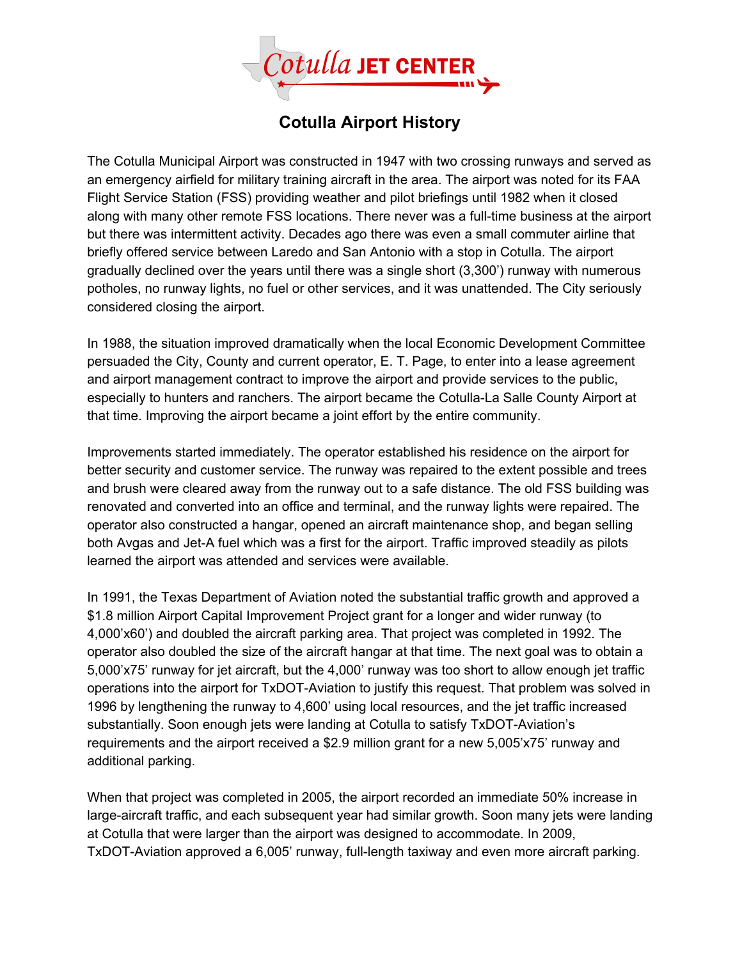

## **Cotulla Airport History**

The Cotulla Municipal Airport was constructed in 1947 with two crossing runways and served as an emergency airfield for military training aircraft in the area. The airport was noted for its FAA Flight Service Station (FSS) providing weather and pilot briefings until 1982 when it closed along with many other remote FSS locations. There never was a full-time business at the airport but there was intermittent activity. Decades ago there was even a small commuter airline that briefly offered service between Laredo and San Antonio with a stop in Cotulla. The airport gradually declined over the years until there was a single short (3,300') runway with numerous potholes, no runway lights, no fuel or other services, and it was unattended. The City seriously considered closing the airport.

In 1988, the situation improved dramatically when the local Economic Development Committee persuaded the City, County and current operator, E. T. Page, to enter into a lease agreement and airport management contract to improve the airport and provide services to the public, especially to hunters and ranchers. The airport became the Cotulla-La Salle County Airport at that time. Improving the airport became a joint effort by the entire community.

Improvements started immediately. The operator established his residence on the airport for better security and customer service. The runway was repaired to the extent possible and trees and brush were cleared away from the runway out to a safe distance. The old FSS building was renovated and converted into an office and terminal, and the runway lights were repaired. The operator also constructed a hangar, opened an aircraft maintenance shop, and began selling both Avgas and Jet-A fuel which was a first for the airport. Traffic improved steadily as pilots learned the airport was attended and services were available.

In 1991, the Texas Department of Aviation noted the substantial traffic growth and approved a \$1.8 million Airport Capital Improvement Project grant for a longer and wider runway (to 4,000'x60') and doubled the aircraft parking area. That project was completed in 1992. The operator also doubled the size of the aircraft hangar at that time. The next goal was to obtain a 5,000'x75' runway for jet aircraft, but the 4,000' runway was too short to allow enough jet traffic operations into the airport for TxDOT-Aviation to justify this request. That problem was solved in 1996 by lengthening the runway to 4,600' using local resources, and the jet traffic increased substantially. Soon enough jets were landing at Cotulla to satisfy TxDOT-Aviation's requirements and the airport received a \$2.9 million grant for a new 5,005'x75' runway and additional parking.

When that project was completed in 2005, the airport recorded an immediate 50% increase in large-aircraft traffic, and each subsequent year had similar growth. Soon many jets were landing at Cotulla that were larger than the airport was designed to accommodate. In 2009, TxDOT-Aviation approved a 6,005' runway, full-length taxiway and even more aircraft parking.